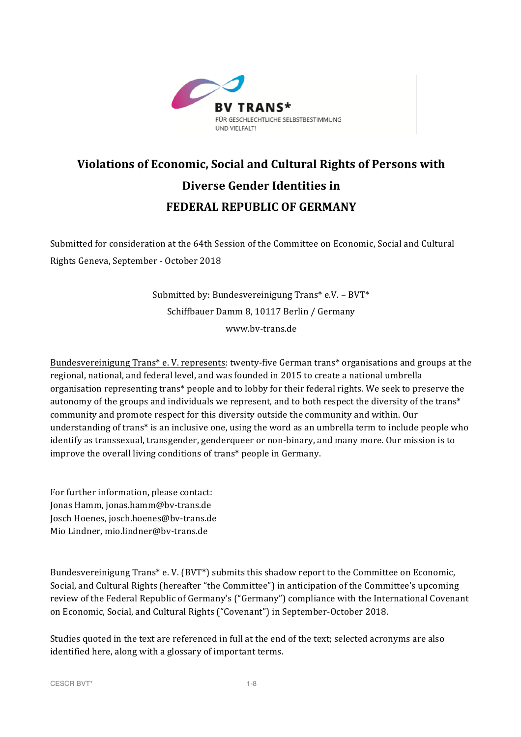

# **Violations of Economic, Social and Cultural Rights of Persons with Diverse Gender Identities in FEDERAL REPUBLIC OF GERMANY**

Submitted for consideration at the 64th Session of the Committee on Economic, Social and Cultural Rights Geneva, September - October 2018

> Submitted by: Bundesvereinigung  $Trans^* e.V. - BVT^*$ Schiffbauer Damm 8, 10117 Berlin / Germany www.bv-trans.de

Bundesvereinigung Trans<sup>\*</sup> e. V. represents: twenty-five German trans<sup>\*</sup> organisations and groups at the regional, national, and federal level, and was founded in 2015 to create a national umbrella organisation representing trans\* people and to lobby for their federal rights. We seek to preserve the autonomy of the groups and individuals we represent, and to both respect the diversity of the trans\* community and promote respect for this diversity outside the community and within. Our understanding of trans<sup>\*</sup> is an inclusive one, using the word as an umbrella term to include people who identify as transsexual, transgender, genderqueer or non-binary, and many more. Our mission is to improve the overall living conditions of trans\* people in Germany.

For further information, please contact: Jonas Hamm, jonas.hamm@bv-trans.de Josch Hoenes, josch.hoenes@bv-trans.de Mio Lindner, mio.lindner@by-trans.de

Bundesvereinigung Trans<sup>\*</sup> e. V. (BVT<sup>\*</sup>) submits this shadow report to the Committee on Economic, Social, and Cultural Rights (hereafter "the Committee") in anticipation of the Committee's upcoming review of the Federal Republic of Germany's ("Germany") compliance with the International Covenant on Economic, Social, and Cultural Rights ("Covenant") in September-October 2018.

Studies quoted in the text are referenced in full at the end of the text; selected acronyms are also identified here, along with a glossary of important terms.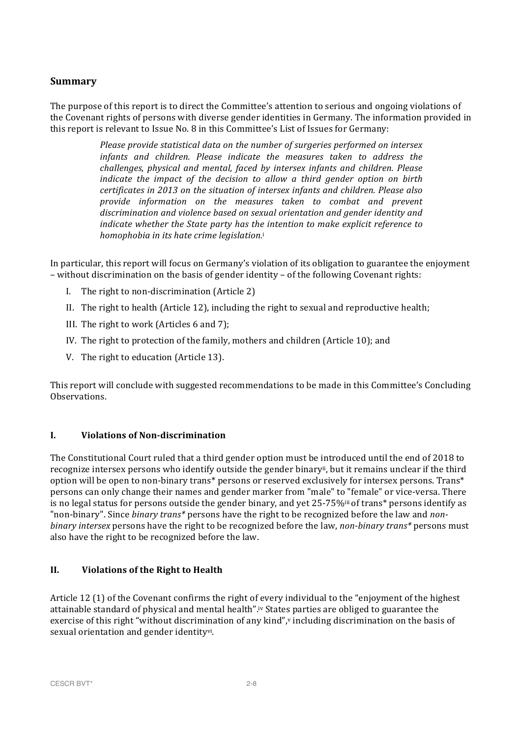## **Summary**

The purpose of this report is to direct the Committee's attention to serious and ongoing violations of the Covenant rights of persons with diverse gender identities in Germany. The information provided in this report is relevant to Issue No. 8 in this Committee's List of Issues for Germany:

> *Please provide statistical data on the number of surgeries performed on intersex infants* and children. Please indicate the measures taken to address the challenges, physical and mental, faced by intersex infants and children. Please *indicate* the *impact* of the decision to allow a third gender option on birth *certificates in 2013 on the situation of intersex infants and children. Please also provide information on the measures taken to combat and prevent*  discrimination and violence based on sexual orientation and gender identity and *indicate* whether the State party has the intention to make explicit reference to *homophobia in its hate crime leaislation.i*

In particular, this report will focus on Germany's violation of its obligation to guarantee the enjoyment  $-$  without discrimination on the basis of gender identity  $-$  of the following Covenant rights:

- I. The right to non-discrimination (Article 2)
- II. The right to health (Article 12), including the right to sexual and reproductive health;
- III. The right to work (Articles  $6$  and  $7$ );
- IV. The right to protection of the family, mothers and children (Article 10); and
- V. The right to education (Article 13).

This report will conclude with suggested recommendations to be made in this Committee's Concluding Observations. 

#### **I. Violations of Non-discrimination**

The Constitutional Court ruled that a third gender option must be introduced until the end of 2018 to recognize intersex persons who identify outside the gender binary<sup>ii</sup>, but it remains unclear if the third option will be open to non-binary trans\* persons or reserved exclusively for intersex persons. Trans\* persons can only change their names and gender marker from "male" to "female" or vice-versa. There is no legal status for persons outside the gender binary, and yet  $25\text{-}75\%$ <sup>iii</sup> of trans<sup>\*</sup> persons identify as "non-binary". Since *binary trans*\* persons have the right to be recognized before the law and *nonbinary intersex* persons have the right to be recognized before the law, *non-binary trans*\* persons must also have the right to be recognized before the law.

### **II. Violations of the Right to Health**

Article  $12$  (1) of the Covenant confirms the right of every individual to the "enjoyment of the highest" attainable standard of physical and mental health".iv States parties are obliged to guarantee the exercise of this right "without discrimination of any kind", vincluding discrimination on the basis of sexual orientation and gender identityvi.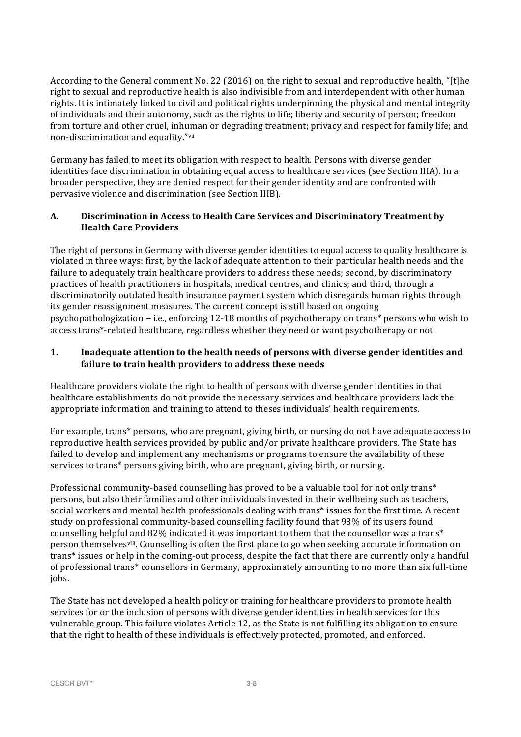According to the General comment No. 22 (2016) on the right to sexual and reproductive health, "[t]he right to sexual and reproductive health is also indivisible from and interdependent with other human rights. It is intimately linked to civil and political rights underpinning the physical and mental integrity of individuals and their autonomy, such as the rights to life; liberty and security of person; freedom from torture and other cruel, inhuman or degrading treatment; privacy and respect for family life; and non-discrimination and equality."vii

Germany has failed to meet its obligation with respect to health. Persons with diverse gender identities face discrimination in obtaining equal access to healthcare services (see Section IIIA). In a broader perspective, they are denied respect for their gender identity and are confronted with pervasive violence and discrimination (see Section IIIB).

## A. Discrimination in Access to Health Care Services and Discriminatory Treatment by **Health Care Providers**

The right of persons in Germany with diverse gender identities to equal access to quality healthcare is violated in three ways: first, by the lack of adequate attention to their particular health needs and the failure to adequately train healthcare providers to address these needs; second, by discriminatory practices of health practitioners in hospitals, medical centres, and clinics; and third, through a discriminatorily outdated health insurance payment system which disregards human rights through its gender reassignment measures. The current concept is still based on ongoing psychopathologization – i.e., enforcing  $12-18$  months of psychotherapy on trans\* persons who wish to access trans\*-related healthcare, regardless whether they need or want psychotherapy or not.

### **1.** Inadequate attention to the health needs of persons with diverse gender identities and failure to train health providers to address these needs

Healthcare providers violate the right to health of persons with diverse gender identities in that healthcare establishments do not provide the necessary services and healthcare providers lack the appropriate information and training to attend to theses individuals' health requirements.

For example, trans<sup>\*</sup> persons, who are pregnant, giving birth, or nursing do not have adequate access to reproductive health services provided by public and/or private healthcare providers. The State has failed to develop and implement any mechanisms or programs to ensure the availability of these services to trans\* persons giving birth, who are pregnant, giving birth, or nursing.

Professional community-based counselling has proved to be a valuable tool for not only trans\* persons, but also their families and other individuals invested in their wellbeing such as teachers, social workers and mental health professionals dealing with trans\* issues for the first time. A recent study on professional community-based counselling facility found that 93% of its users found counselling helpful and 82% indicated it was important to them that the counsellor was a trans\* person themselves<sup>viii</sup>. Counselling is often the first place to go when seeking accurate information on trans\* issues or help in the coming-out process, despite the fact that there are currently only a handful of professional trans\* counsellors in Germany, approximately amounting to no more than six full-time jobs.

The State has not developed a health policy or training for healthcare providers to promote health services for or the inclusion of persons with diverse gender identities in health services for this vulnerable group. This failure violates Article 12, as the State is not fulfilling its obligation to ensure that the right to health of these individuals is effectively protected, promoted, and enforced.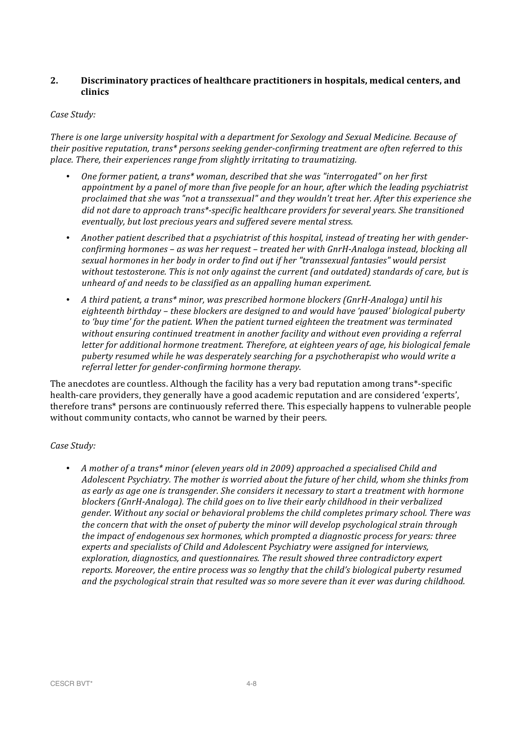#### 2. Discriminatory practices of healthcare practitioners in hospitals, medical centers, and **clinics**

#### *Case Study:*

*There is one large university hospital with a department for Sexology and Sexual Medicine. Because of their positive reputation, trans\* persons seeking gender-confirming treatment are often referred to this place. There, their experiences range from slightly irritating to traumatizing.* 

- *One former patient, a trans\* woman, described that she was "interrogated" on her first* appointment by a panel of more than five people for an hour, after which the leading psychiatrist *proclaimed that she was "not a transsexual"* and they wouldn't treat her. After this experience she did not dare to approach trans\*-specific healthcare providers for several years. She transitioned eventually, but lost precious years and suffered severe mental stress.
- Another patient described that a psychiatrist of this hospital, instead of treating her with gender*confirming hormones* – as was her request – treated her with GnrH-Analoga instead, blocking all sexual hormones in her body in order to find out if her "transsexual fantasies" would persist *without testosterone. This is not only against the current (and outdated) standards of care, but is unheard of and needs to be classified as an appalling human experiment.*
- A third patient, a trans<sup>\*</sup> minor, was prescribed hormone blockers (GnrH-Analoga) until his *eighteenth birthday – these blockers are designed to and would have 'paused' biological puberty*  to 'buy time' for the patient. When the patient turned eighteen the treatment was terminated without ensuring continued treatment in another facility and without even providing a referral *letter for additional hormone treatment. Therefore, at eighteen years of age, his biological female* puberty resumed while he was desperately searching for a psychotherapist who would write a referral letter for gender-confirming hormone therapy.

The anecdotes are countless. Although the facility has a very bad reputation among trans\*-specific health-care providers, they generally have a good academic reputation and are considered 'experts', therefore trans\* persons are continuously referred there. This especially happens to vulnerable people without community contacts, who cannot be warned by their peers.

### *Case Study:*

• A mother of a trans<sup>\*</sup> minor (eleven years old in 2009) approached a specialised Child and *Adolescent Psychiatry. The mother is worried about the future of her child, whom she thinks from as* early as age one is transgender. She considers it necessary to start a treatment with hormone blockers (GnrH-Analoga). The child goes on to live their early childhood in their verbalized *gender.* Without any social or behavioral problems the child completes primary school. There was *the concern that with the onset of puberty the minor will develop psychological strain through the impact of endogenous sex hormones, which prompted a diagnostic process for years: three* experts and specialists of Child and Adolescent Psychiatry were assigned for interviews, exploration, diagnostics, and questionnaires. The result showed three contradictory expert *reports. Moreover, the entire process was so lengthy that the child's biological puberty resumed* and the psychological strain that resulted was so more severe than it ever was during childhood.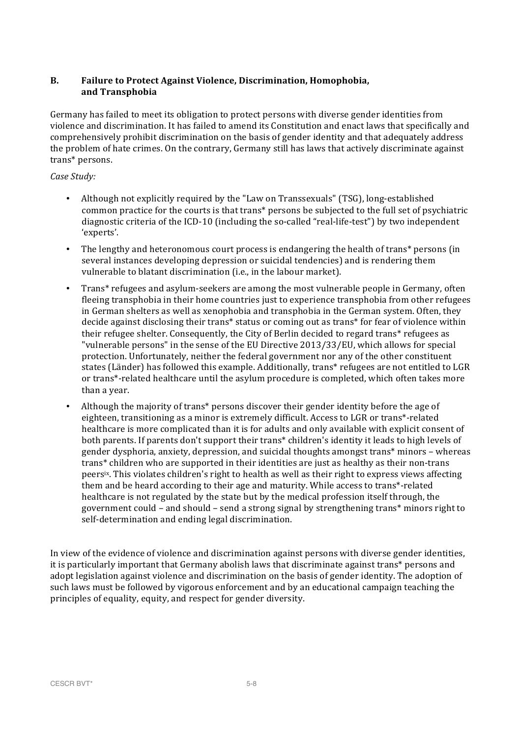### **B.** Failure to Protect Against Violence, Discrimination, Homophobia, **and Transphobia**

Germany has failed to meet its obligation to protect persons with diverse gender identities from violence and discrimination. It has failed to amend its Constitution and enact laws that specifically and comprehensively prohibit discrimination on the basis of gender identity and that adequately address the problem of hate crimes. On the contrary, Germany still has laws that actively discriminate against trans\* persons. 

#### *Case Study:*

- Although not explicitly required by the "Law on Transsexuals" (TSG), long-established common practice for the courts is that trans\* persons be subjected to the full set of psychiatric diagnostic criteria of the ICD-10 (including the so-called "real-life-test") by two independent 'experts'.
- The lengthy and heteronomous court process is endangering the health of trans\* persons (in several instances developing depression or suicidal tendencies) and is rendering them vulnerable to blatant discrimination (i.e., in the labour market).
- Trans\* refugees and asylum-seekers are among the most vulnerable people in Germany, often fleeing transphobia in their home countries just to experience transphobia from other refugees in German shelters as well as xenophobia and transphobia in the German system. Often, they decide against disclosing their trans\* status or coming out as trans\* for fear of violence within their refugee shelter. Consequently, the City of Berlin decided to regard trans\* refugees as "vulnerable persons" in the sense of the EU Directive 2013/33/EU, which allows for special protection. Unfortunately, neither the federal government nor any of the other constituent states (Länder) has followed this example. Additionally, trans\* refugees are not entitled to LGR or trans\*-related healthcare until the asylum procedure is completed, which often takes more than a year.
- Although the majority of trans\* persons discover their gender identity before the age of eighteen, transitioning as a minor is extremely difficult. Access to LGR or trans\*-related healthcare is more complicated than it is for adults and only available with explicit consent of both parents. If parents don't support their trans\* children's identity it leads to high levels of gender dysphoria, anxiety, depression, and suicidal thoughts amongst trans<sup>\*</sup> minors – whereas trans\* children who are supported in their identities are just as healthy as their non-trans peers<sup>ix</sup>. This violates children's right to health as well as their right to express views affecting them and be heard according to their age and maturity. While access to trans\*-related healthcare is not regulated by the state but by the medical profession itself through, the government could – and should – send a strong signal by strengthening trans\* minors right to self-determination and ending legal discrimination.

In view of the evidence of violence and discrimination against persons with diverse gender identities, it is particularly important that Germany abolish laws that discriminate against trans<sup>\*</sup> persons and adopt legislation against violence and discrimination on the basis of gender identity. The adoption of such laws must be followed by vigorous enforcement and by an educational campaign teaching the principles of equality, equity, and respect for gender diversity.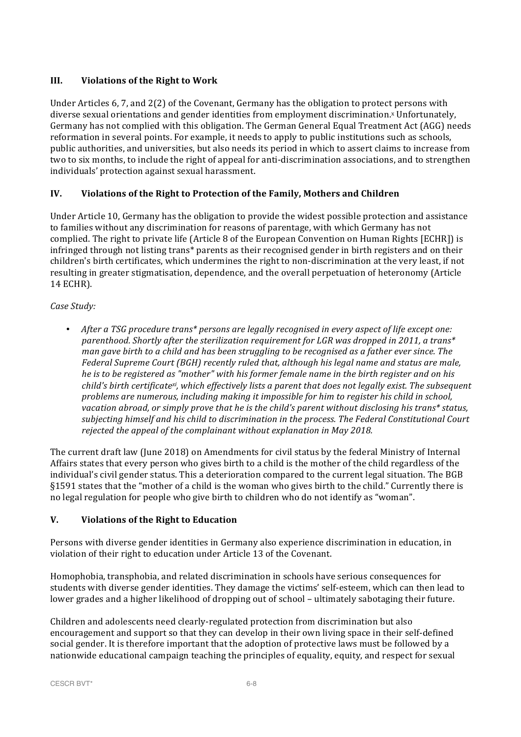## **III. Violations of the Right to Work**

Under Articles  $6, 7$ , and  $2(2)$  of the Covenant, Germany has the obligation to protect persons with diverse sexual orientations and gender identities from employment discrimination.<sup>x</sup> Unfortunately, Germany has not complied with this obligation. The German General Equal Treatment Act (AGG) needs reformation in several points. For example, it needs to apply to public institutions such as schools, public authorities, and universities, but also needs its period in which to assert claims to increase from two to six months, to include the right of appeal for anti-discrimination associations, and to strengthen individuals' protection against sexual harassment.

## **IV.** Violations of the Right to Protection of the Family, Mothers and Children

Under Article 10, Germany has the obligation to provide the widest possible protection and assistance to families without any discrimination for reasons of parentage, with which Germany has not complied. The right to private life (Article 8 of the European Convention on Human Rights [ECHR]) is infringed through not listing trans<sup>\*</sup> parents as their recognised gender in birth registers and on their children's birth certificates, which undermines the right to non-discrimination at the very least, if not resulting in greater stigmatisation, dependence, and the overall perpetuation of heteronomy (Article 14 ECHR). 

*Case Study:*

• After a TSG procedure trans\* persons are legally recognised in every aspect of life except one: parenthood. Shortly after the sterilization requirement for LGR was dropped in 2011, a trans\* *man gave birth to a child and has been struggling to be recognised as a father ever since. The Federal Supreme Court (BGH)* recently ruled that, although his legal name and status are male, *he* is to be registered as "mother" with his former female name in the birth register and on his *child's birth certificatexi, which effectively lists a parent that does not legally exist. The subsequent problems are numerous, including making it impossible for him to register his child in school,* vacation abroad, or simply prove that he is the child's parent without disclosing his trans\* status, subjecting himself and his child to discrimination in the process. The Federal Constitutional Court rejected the appeal of the complainant without explanation in May 2018.

The current draft law (June 2018) on Amendments for civil status by the federal Ministry of Internal Affairs states that every person who gives birth to a child is the mother of the child regardless of the individual's civil gender status. This a deterioration compared to the current legal situation. The BGB §1591 states that the "mother of a child is the woman who gives birth to the child." Currently there is no legal regulation for people who give birth to children who do not identify as "woman".

### **V. Violations of the Right to Education**

Persons with diverse gender identities in Germany also experience discrimination in education, in violation of their right to education under Article 13 of the Covenant.

Homophobia, transphobia, and related discrimination in schools have serious consequences for students with diverse gender identities. They damage the victims' self-esteem, which can then lead to lower grades and a higher likelihood of dropping out of school – ultimately sabotaging their future.

Children and adolescents need clearly-regulated protection from discrimination but also encouragement and support so that they can develop in their own living space in their self-defined social gender. It is therefore important that the adoption of protective laws must be followed by a nationwide educational campaign teaching the principles of equality, equity, and respect for sexual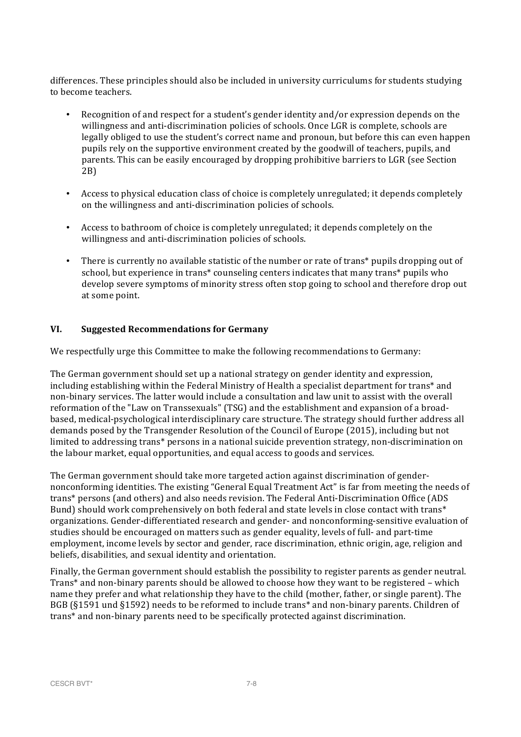differences. These principles should also be included in university curriculums for students studying to become teachers.

- Recognition of and respect for a student's gender identity and/or expression depends on the willingness and anti-discrimination policies of schools. Once LGR is complete, schools are legally obliged to use the student's correct name and pronoun, but before this can even happen pupils rely on the supportive environment created by the goodwill of teachers, pupils, and parents. This can be easily encouraged by dropping prohibitive barriers to LGR (see Section 2B)
- Access to physical education class of choice is completely unregulated; it depends completely on the willingness and anti-discrimination policies of schools.
- Access to bathroom of choice is completely unregulated; it depends completely on the willingness and anti-discrimination policies of schools.
- There is currently no available statistic of the number or rate of trans\* pupils dropping out of school, but experience in trans\* counseling centers indicates that many trans\* pupils who develop severe symptoms of minority stress often stop going to school and therefore drop out at some point.

### **VI. Suggested Recommendations for Germany**

We respectfully urge this Committee to make the following recommendations to Germany:

The German government should set up a national strategy on gender identity and expression, including establishing within the Federal Ministry of Health a specialist department for trans\* and non-binary services. The latter would include a consultation and law unit to assist with the overall reformation of the "Law on Transsexuals" (TSG) and the establishment and expansion of a broadbased, medical-psychological interdisciplinary care structure. The strategy should further address all demands posed by the Transgender Resolution of the Council of Europe (2015), including but not limited to addressing trans<sup>\*</sup> persons in a national suicide prevention strategy, non-discrimination on the labour market, equal opportunities, and equal access to goods and services.

The German government should take more targeted action against discrimination of gendernonconforming identities. The existing "General Equal Treatment Act" is far from meeting the needs of trans\* persons (and others) and also needs revision. The Federal Anti-Discrimination Office (ADS) Bund) should work comprehensively on both federal and state levels in close contact with trans\* organizations. Gender-differentiated research and gender- and nonconforming-sensitive evaluation of studies should be encouraged on matters such as gender equality, levels of full- and part-time employment, income levels by sector and gender, race discrimination, ethnic origin, age, religion and beliefs, disabilities, and sexual identity and orientation.

Finally, the German government should establish the possibility to register parents as gender neutral. Trans<sup>\*</sup> and non-binary parents should be allowed to choose how they want to be registered – which name they prefer and what relationship they have to the child (mother, father, or single parent). The BGB (§1591 und §1592) needs to be reformed to include trans\* and non-binary parents. Children of trans<sup>\*</sup> and non-binary parents need to be specifically protected against discrimination.